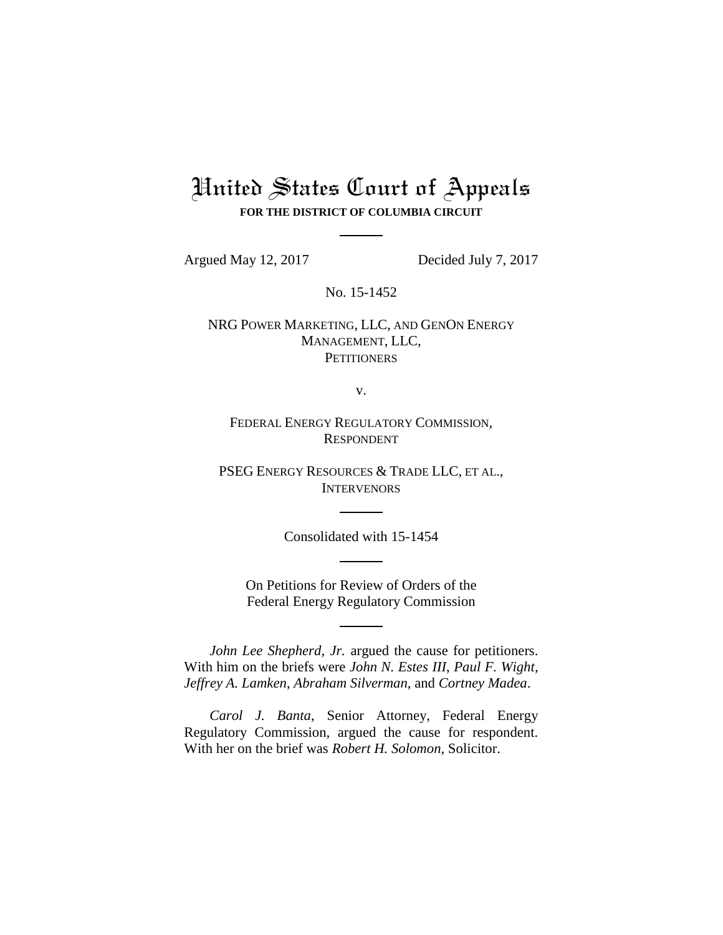# United States Court of Appeals **FOR THE DISTRICT OF COLUMBIA CIRCUIT**

Argued May 12, 2017 Decided July 7, 2017

No. 15-1452

NRG POWER MARKETING, LLC, AND GENON ENERGY MANAGEMENT, LLC, **PETITIONERS** 

v.

FEDERAL ENERGY REGULATORY COMMISSION, RESPONDENT

PSEG ENERGY RESOURCES & TRADE LLC, ET AL., **INTERVENORS** 

Consolidated with 15-1454

On Petitions for Review of Orders of the Federal Energy Regulatory Commission

*John Lee Shepherd, Jr.* argued the cause for petitioners. With him on the briefs were *John N. Estes III*, *Paul F. Wight*, *Jeffrey A. Lamken*, *Abraham Silverman*, and *Cortney Madea*.

*Carol J. Banta*, Senior Attorney, Federal Energy Regulatory Commission, argued the cause for respondent. With her on the brief was *Robert H. Solomon*, Solicitor.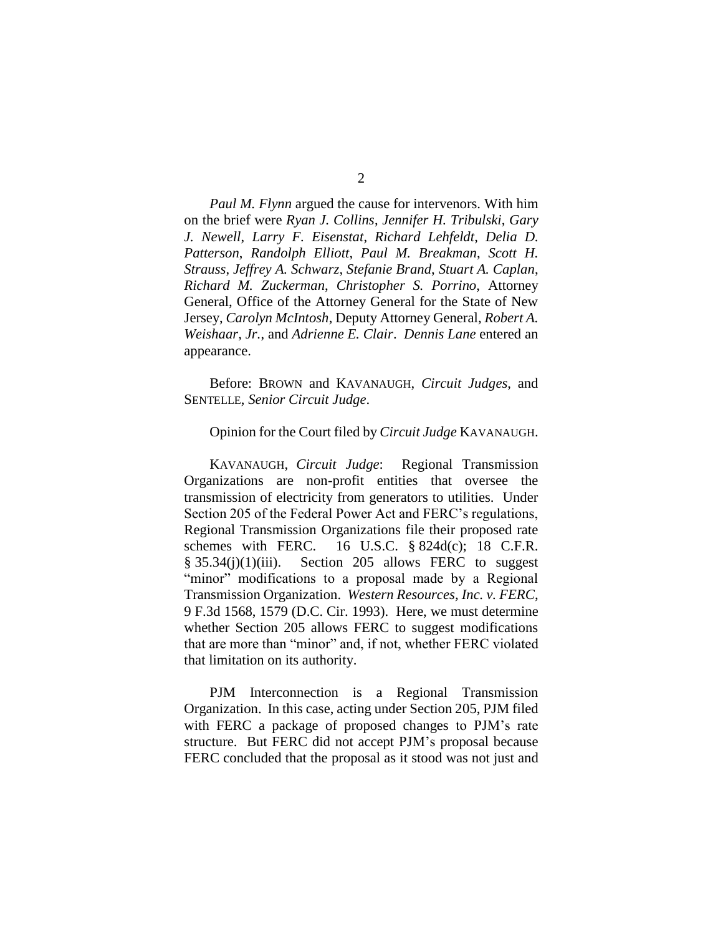*Paul M. Flynn* argued the cause for intervenors. With him on the brief were *Ryan J. Collins*, *Jennifer H. Tribulski*, *Gary J. Newell*, *Larry F. Eisenstat*, *Richard Lehfeldt*, *Delia D. Patterson*, *Randolph Elliott*, *Paul M. Breakman*, *Scott H. Strauss*, *Jeffrey A. Schwarz*, *Stefanie Brand*, *Stuart A. Caplan*, *Richard M. Zuckerman*, *Christopher S. Porrino*, Attorney General, Office of the Attorney General for the State of New Jersey, *Carolyn McIntosh*, Deputy Attorney General, *Robert A. Weishaar, Jr.*, and *Adrienne E. Clair*. *Dennis Lane* entered an appearance.

Before: BROWN and KAVANAUGH, *Circuit Judges*, and SENTELLE, *Senior Circuit Judge*.

#### Opinion for the Court filed by *Circuit Judge* KAVANAUGH.

KAVANAUGH, *Circuit Judge*: Regional Transmission Organizations are non-profit entities that oversee the transmission of electricity from generators to utilities. Under Section 205 of the Federal Power Act and FERC's regulations, Regional Transmission Organizations file their proposed rate schemes with FERC. 16 U.S.C.  $\S$  824d(c); 18 C.F.R.  $§ 35.34(i)(1)(iii)$ . Section 205 allows FERC to suggest "minor" modifications to a proposal made by a Regional Transmission Organization. *Western Resources, Inc. v. FERC*, 9 F.3d 1568, 1579 (D.C. Cir. 1993). Here, we must determine whether Section 205 allows FERC to suggest modifications that are more than "minor" and, if not, whether FERC violated that limitation on its authority.

PJM Interconnection is a Regional Transmission Organization. In this case, acting under Section 205, PJM filed with FERC a package of proposed changes to PJM's rate structure. But FERC did not accept PJM's proposal because FERC concluded that the proposal as it stood was not just and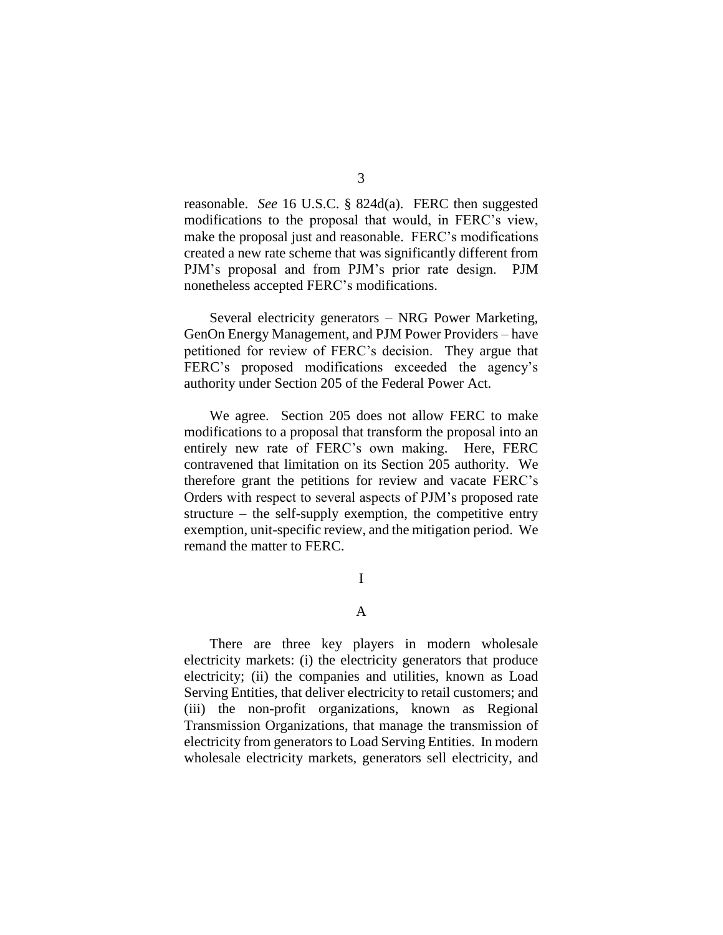reasonable. *See* 16 U.S.C. § 824d(a). FERC then suggested modifications to the proposal that would, in FERC's view, make the proposal just and reasonable. FERC's modifications created a new rate scheme that was significantly different from PJM's proposal and from PJM's prior rate design. PJM nonetheless accepted FERC's modifications.

Several electricity generators – NRG Power Marketing, GenOn Energy Management, and PJM Power Providers – have petitioned for review of FERC's decision. They argue that FERC's proposed modifications exceeded the agency's authority under Section 205 of the Federal Power Act.

We agree. Section 205 does not allow FERC to make modifications to a proposal that transform the proposal into an entirely new rate of FERC's own making. Here, FERC contravened that limitation on its Section 205 authority. We therefore grant the petitions for review and vacate FERC's Orders with respect to several aspects of PJM's proposed rate structure – the self-supply exemption, the competitive entry exemption, unit-specific review, and the mitigation period. We remand the matter to FERC.

I

#### A

There are three key players in modern wholesale electricity markets: (i) the electricity generators that produce electricity; (ii) the companies and utilities, known as Load Serving Entities, that deliver electricity to retail customers; and (iii) the non-profit organizations, known as Regional Transmission Organizations, that manage the transmission of electricity from generators to Load Serving Entities. In modern wholesale electricity markets, generators sell electricity, and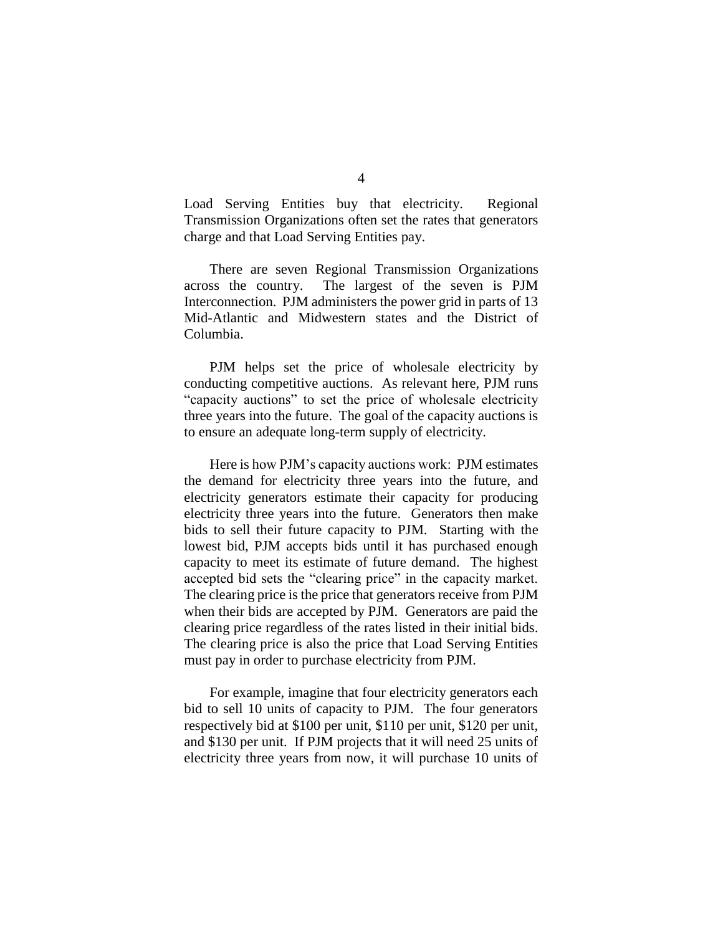Load Serving Entities buy that electricity. Regional Transmission Organizations often set the rates that generators charge and that Load Serving Entities pay.

There are seven Regional Transmission Organizations across the country. The largest of the seven is PJM Interconnection. PJM administers the power grid in parts of 13 Mid-Atlantic and Midwestern states and the District of Columbia.

PJM helps set the price of wholesale electricity by conducting competitive auctions. As relevant here, PJM runs "capacity auctions" to set the price of wholesale electricity three years into the future. The goal of the capacity auctions is to ensure an adequate long-term supply of electricity.

Here is how PJM's capacity auctions work: PJM estimates the demand for electricity three years into the future, and electricity generators estimate their capacity for producing electricity three years into the future. Generators then make bids to sell their future capacity to PJM. Starting with the lowest bid, PJM accepts bids until it has purchased enough capacity to meet its estimate of future demand. The highest accepted bid sets the "clearing price" in the capacity market. The clearing price is the price that generators receive from PJM when their bids are accepted by PJM. Generators are paid the clearing price regardless of the rates listed in their initial bids. The clearing price is also the price that Load Serving Entities must pay in order to purchase electricity from PJM.

For example, imagine that four electricity generators each bid to sell 10 units of capacity to PJM. The four generators respectively bid at \$100 per unit, \$110 per unit, \$120 per unit, and \$130 per unit. If PJM projects that it will need 25 units of electricity three years from now, it will purchase 10 units of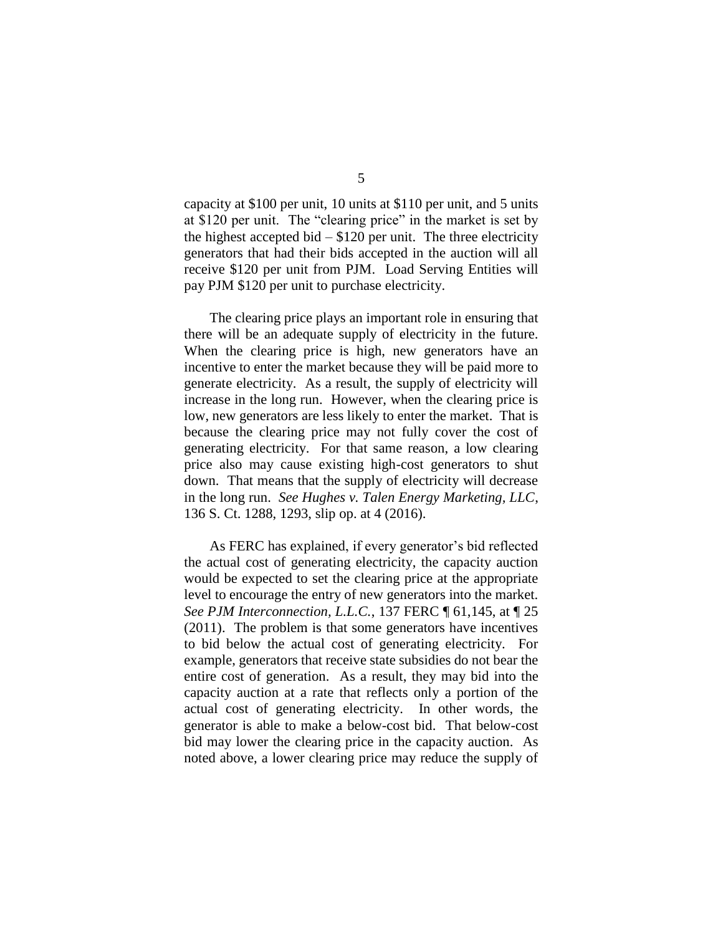capacity at \$100 per unit, 10 units at \$110 per unit, and 5 units at \$120 per unit. The "clearing price" in the market is set by the highest accepted bid  $- $120$  per unit. The three electricity generators that had their bids accepted in the auction will all receive \$120 per unit from PJM. Load Serving Entities will pay PJM \$120 per unit to purchase electricity.

The clearing price plays an important role in ensuring that there will be an adequate supply of electricity in the future. When the clearing price is high, new generators have an incentive to enter the market because they will be paid more to generate electricity. As a result, the supply of electricity will increase in the long run. However, when the clearing price is low, new generators are less likely to enter the market. That is because the clearing price may not fully cover the cost of generating electricity. For that same reason, a low clearing price also may cause existing high-cost generators to shut down. That means that the supply of electricity will decrease in the long run. *See Hughes v. Talen Energy Marketing, LLC*, 136 S. Ct. 1288, 1293, slip op. at 4 (2016).

As FERC has explained, if every generator's bid reflected the actual cost of generating electricity, the capacity auction would be expected to set the clearing price at the appropriate level to encourage the entry of new generators into the market. *See PJM Interconnection, L.L.C.*, 137 FERC ¶ 61,145, at ¶ 25 (2011). The problem is that some generators have incentives to bid below the actual cost of generating electricity. For example, generators that receive state subsidies do not bear the entire cost of generation. As a result, they may bid into the capacity auction at a rate that reflects only a portion of the actual cost of generating electricity. In other words, the generator is able to make a below-cost bid. That below-cost bid may lower the clearing price in the capacity auction. As noted above, a lower clearing price may reduce the supply of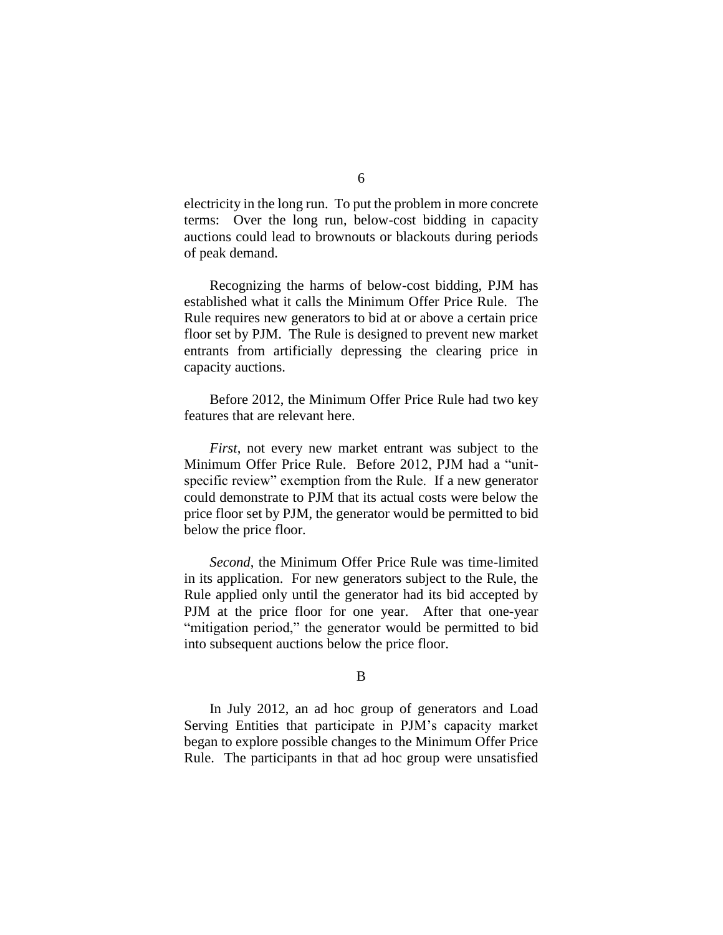electricity in the long run. To put the problem in more concrete terms: Over the long run, below-cost bidding in capacity auctions could lead to brownouts or blackouts during periods of peak demand.

Recognizing the harms of below-cost bidding, PJM has established what it calls the Minimum Offer Price Rule. The Rule requires new generators to bid at or above a certain price floor set by PJM. The Rule is designed to prevent new market entrants from artificially depressing the clearing price in capacity auctions.

Before 2012, the Minimum Offer Price Rule had two key features that are relevant here.

*First*, not every new market entrant was subject to the Minimum Offer Price Rule. Before 2012, PJM had a "unitspecific review" exemption from the Rule. If a new generator could demonstrate to PJM that its actual costs were below the price floor set by PJM, the generator would be permitted to bid below the price floor.

*Second*, the Minimum Offer Price Rule was time-limited in its application. For new generators subject to the Rule, the Rule applied only until the generator had its bid accepted by PJM at the price floor for one year. After that one-year "mitigation period," the generator would be permitted to bid into subsequent auctions below the price floor.

### B

In July 2012, an ad hoc group of generators and Load Serving Entities that participate in PJM's capacity market began to explore possible changes to the Minimum Offer Price Rule.The participants in that ad hoc group were unsatisfied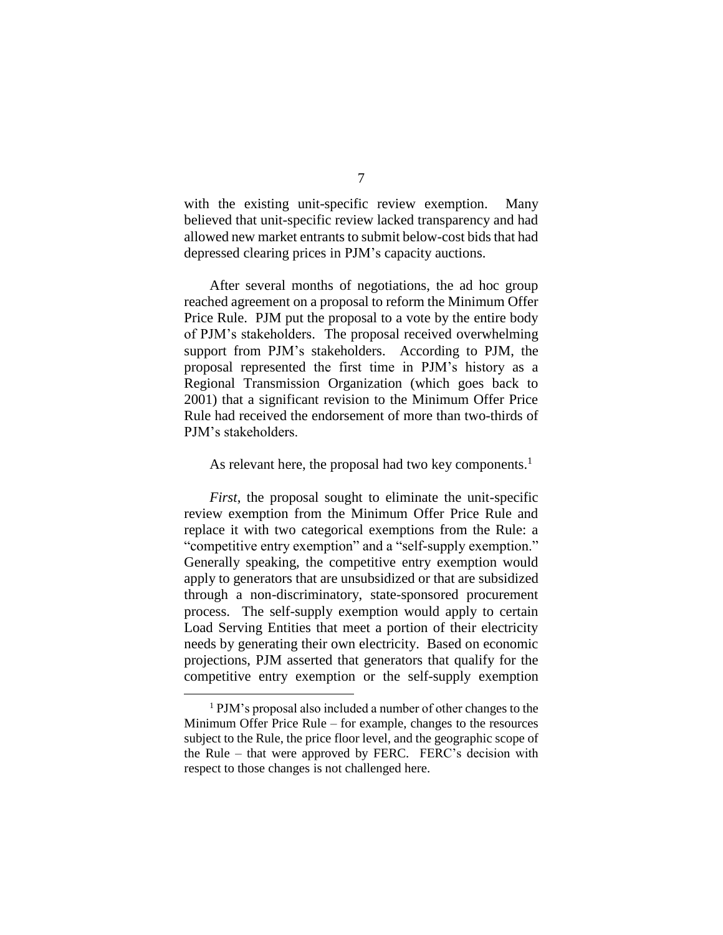with the existing unit-specific review exemption. Many believed that unit-specific review lacked transparency and had allowed new market entrants to submit below-cost bids that had depressed clearing prices in PJM's capacity auctions.

After several months of negotiations, the ad hoc group reached agreement on a proposal to reform the Minimum Offer Price Rule. PJM put the proposal to a vote by the entire body of PJM's stakeholders. The proposal received overwhelming support from PJM's stakeholders.According to PJM, the proposal represented the first time in PJM's history as a Regional Transmission Organization (which goes back to 2001) that a significant revision to the Minimum Offer Price Rule had received the endorsement of more than two-thirds of PJM's stakeholders.

## As relevant here, the proposal had two key components.<sup>1</sup>

*First*, the proposal sought to eliminate the unit-specific review exemption from the Minimum Offer Price Rule and replace it with two categorical exemptions from the Rule: a "competitive entry exemption" and a "self-supply exemption." Generally speaking, the competitive entry exemption would apply to generators that are unsubsidized or that are subsidized through a non-discriminatory, state-sponsored procurement process. The self-supply exemption would apply to certain Load Serving Entities that meet a portion of their electricity needs by generating their own electricity. Based on economic projections, PJM asserted that generators that qualify for the competitive entry exemption or the self-supply exemption

 $\overline{a}$ 

<sup>1</sup> PJM's proposal also included a number of other changes to the Minimum Offer Price Rule – for example, changes to the resources subject to the Rule, the price floor level, and the geographic scope of the Rule – that were approved by FERC. FERC's decision with respect to those changes is not challenged here.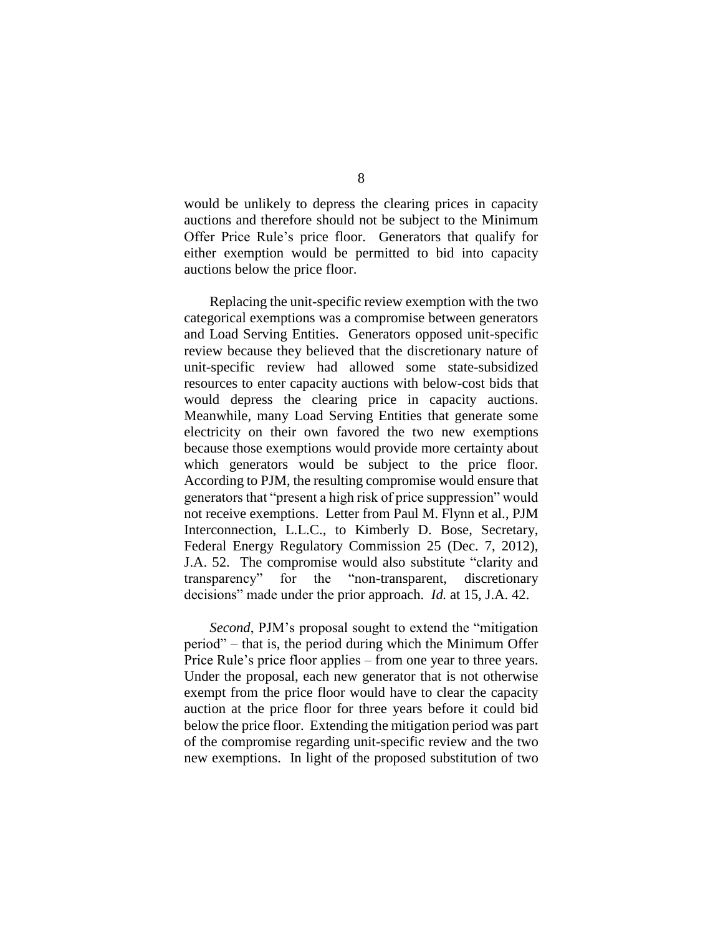would be unlikely to depress the clearing prices in capacity auctions and therefore should not be subject to the Minimum Offer Price Rule's price floor. Generators that qualify for either exemption would be permitted to bid into capacity auctions below the price floor.

Replacing the unit-specific review exemption with the two categorical exemptions was a compromise between generators and Load Serving Entities. Generators opposed unit-specific review because they believed that the discretionary nature of unit-specific review had allowed some state-subsidized resources to enter capacity auctions with below-cost bids that would depress the clearing price in capacity auctions. Meanwhile, many Load Serving Entities that generate some electricity on their own favored the two new exemptions because those exemptions would provide more certainty about which generators would be subject to the price floor. According to PJM, the resulting compromise would ensure that generators that "present a high risk of price suppression" would not receive exemptions. Letter from Paul M. Flynn et al., PJM Interconnection, L.L.C., to Kimberly D. Bose, Secretary, Federal Energy Regulatory Commission 25 (Dec. 7, 2012), J.A. 52. The compromise would also substitute "clarity and transparency" for the "non-transparent, discretionary decisions" made under the prior approach. *Id.* at 15, J.A. 42.

*Second*, PJM's proposal sought to extend the "mitigation period" – that is, the period during which the Minimum Offer Price Rule's price floor applies – from one year to three years. Under the proposal, each new generator that is not otherwise exempt from the price floor would have to clear the capacity auction at the price floor for three years before it could bid below the price floor. Extending the mitigation period was part of the compromise regarding unit-specific review and the two new exemptions. In light of the proposed substitution of two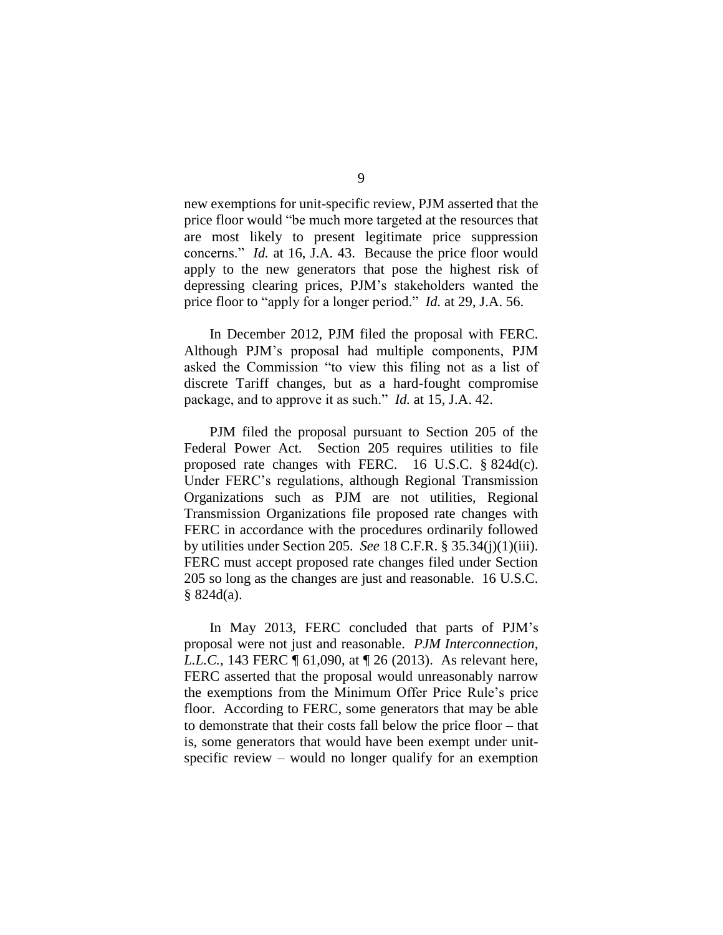new exemptions for unit-specific review, PJM asserted that the price floor would "be much more targeted at the resources that are most likely to present legitimate price suppression concerns." *Id.* at 16, J.A. 43. Because the price floor would apply to the new generators that pose the highest risk of depressing clearing prices, PJM's stakeholders wanted the price floor to "apply for a longer period." *Id.* at 29, J.A. 56.

In December 2012, PJM filed the proposal with FERC. Although PJM's proposal had multiple components, PJM asked the Commission "to view this filing not as a list of discrete Tariff changes, but as a hard-fought compromise package, and to approve it as such." *Id.* at 15, J.A. 42.

PJM filed the proposal pursuant to Section 205 of the Federal Power Act. Section 205 requires utilities to file proposed rate changes with FERC. 16 U.S.C. § 824d(c). Under FERC's regulations, although Regional Transmission Organizations such as PJM are not utilities, Regional Transmission Organizations file proposed rate changes with FERC in accordance with the procedures ordinarily followed by utilities under Section 205. *See* 18 C.F.R. § 35.34(j)(1)(iii). FERC must accept proposed rate changes filed under Section 205 so long as the changes are just and reasonable. 16 U.S.C. § 824d(a).

In May 2013, FERC concluded that parts of PJM's proposal were not just and reasonable. *PJM Interconnection, L.L.C.*, 143 FERC ¶ 61,090, at ¶ 26 (2013). As relevant here, FERC asserted that the proposal would unreasonably narrow the exemptions from the Minimum Offer Price Rule's price floor. According to FERC, some generators that may be able to demonstrate that their costs fall below the price floor – that is, some generators that would have been exempt under unitspecific review – would no longer qualify for an exemption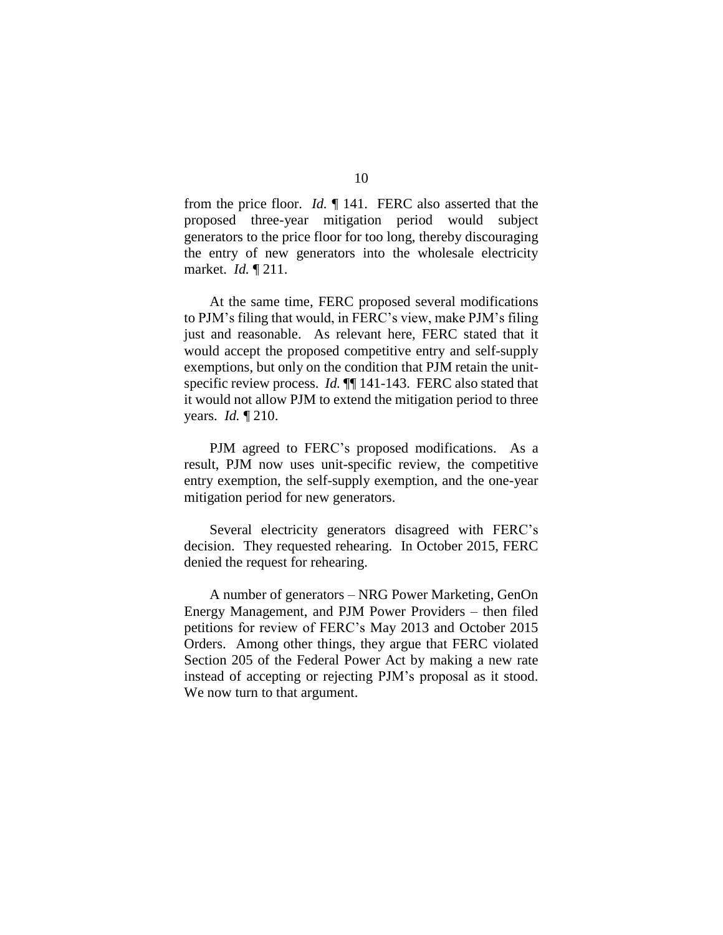from the price floor. *Id.* ¶ 141. FERC also asserted that the proposed three-year mitigation period would subject generators to the price floor for too long, thereby discouraging the entry of new generators into the wholesale electricity market. *Id.* ¶ 211.

At the same time, FERC proposed several modifications to PJM's filing that would, in FERC's view, make PJM's filing just and reasonable. As relevant here, FERC stated that it would accept the proposed competitive entry and self-supply exemptions, but only on the condition that PJM retain the unitspecific review process. *Id.*  $\P$  141-143. FERC also stated that it would not allow PJM to extend the mitigation period to three years. *Id.* ¶ 210.

PJM agreed to FERC's proposed modifications. As a result, PJM now uses unit-specific review, the competitive entry exemption, the self-supply exemption, and the one-year mitigation period for new generators.

Several electricity generators disagreed with FERC's decision. They requested rehearing. In October 2015, FERC denied the request for rehearing.

A number of generators – NRG Power Marketing, GenOn Energy Management, and PJM Power Providers – then filed petitions for review of FERC's May 2013 and October 2015 Orders. Among other things, they argue that FERC violated Section 205 of the Federal Power Act by making a new rate instead of accepting or rejecting PJM's proposal as it stood. We now turn to that argument.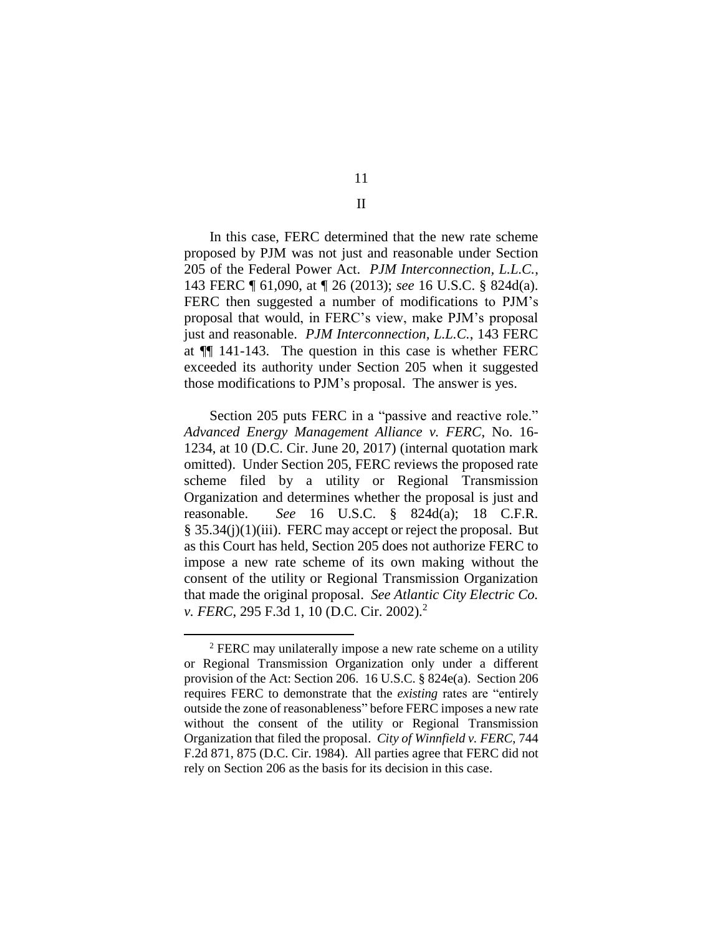In this case, FERC determined that the new rate scheme proposed by PJM was not just and reasonable under Section 205 of the Federal Power Act. *PJM Interconnection, L.L.C.*, 143 FERC ¶ 61,090, at ¶ 26 (2013); *see* 16 U.S.C. § 824d(a). FERC then suggested a number of modifications to PJM's proposal that would, in FERC's view, make PJM's proposal just and reasonable. *PJM Interconnection, L.L.C.*, 143 FERC at ¶¶ 141-143. The question in this case is whether FERC exceeded its authority under Section 205 when it suggested those modifications to PJM's proposal. The answer is yes.

Section 205 puts FERC in a "passive and reactive role." *Advanced Energy Management Alliance v. FERC*, No. 16- 1234, at 10 (D.C. Cir. June 20, 2017) (internal quotation mark omitted). Under Section 205, FERC reviews the proposed rate scheme filed by a utility or Regional Transmission Organization and determines whether the proposal is just and reasonable. *See* 16 U.S.C. § 824d(a); 18 C.F.R. § 35.34(j)(1)(iii). FERC may accept or reject the proposal. But as this Court has held, Section 205 does not authorize FERC to impose a new rate scheme of its own making without the consent of the utility or Regional Transmission Organization that made the original proposal. *See Atlantic City Electric Co. v. FERC*, 295 F.3d 1, 10 (D.C. Cir. 2002).<sup>2</sup>

 $\overline{a}$ 

11 II

<sup>&</sup>lt;sup>2</sup> FERC may unilaterally impose a new rate scheme on a utility or Regional Transmission Organization only under a different provision of the Act: Section 206. 16 U.S.C. § 824e(a). Section 206 requires FERC to demonstrate that the *existing* rates are "entirely outside the zone of reasonableness" before FERC imposes a new rate without the consent of the utility or Regional Transmission Organization that filed the proposal. *City of Winnfield v. FERC*, 744 F.2d 871, 875 (D.C. Cir. 1984). All parties agree that FERC did not rely on Section 206 as the basis for its decision in this case.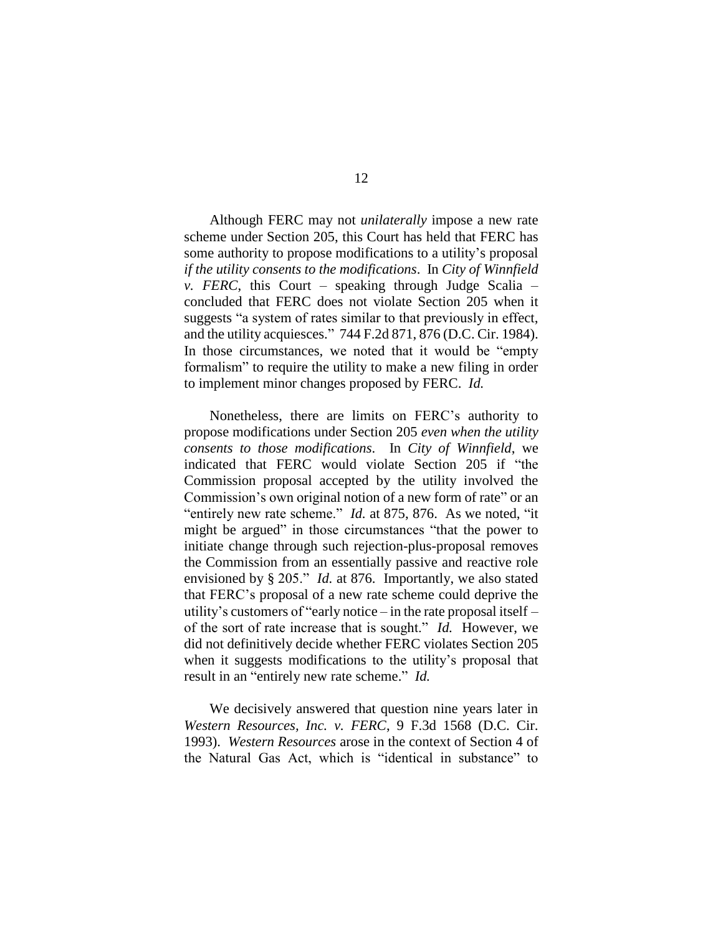Although FERC may not *unilaterally* impose a new rate scheme under Section 205, this Court has held that FERC has some authority to propose modifications to a utility's proposal *if the utility consents to the modifications*. In *City of Winnfield v. FERC*, this Court – speaking through Judge Scalia – concluded that FERC does not violate Section 205 when it suggests "a system of rates similar to that previously in effect, and the utility acquiesces." 744 F.2d 871, 876 (D.C. Cir. 1984). In those circumstances, we noted that it would be "empty formalism" to require the utility to make a new filing in order to implement minor changes proposed by FERC. *Id.*

Nonetheless, there are limits on FERC's authority to propose modifications under Section 205 *even when the utility consents to those modifications*. In *City of Winnfield*, we indicated that FERC would violate Section 205 if "the Commission proposal accepted by the utility involved the Commission's own original notion of a new form of rate" or an "entirely new rate scheme." *Id.* at 875, 876. As we noted, "it might be argued" in those circumstances "that the power to initiate change through such rejection-plus-proposal removes the Commission from an essentially passive and reactive role envisioned by § 205." *Id.* at 876. Importantly, we also stated that FERC's proposal of a new rate scheme could deprive the utility's customers of "early notice – in the rate proposal itself – of the sort of rate increase that is sought." *Id.* However, we did not definitively decide whether FERC violates Section 205 when it suggests modifications to the utility's proposal that result in an "entirely new rate scheme." *Id.*

We decisively answered that question nine years later in *Western Resources, Inc. v. FERC*, 9 F.3d 1568 (D.C. Cir. 1993). *Western Resources* arose in the context of Section 4 of the Natural Gas Act, which is "identical in substance" to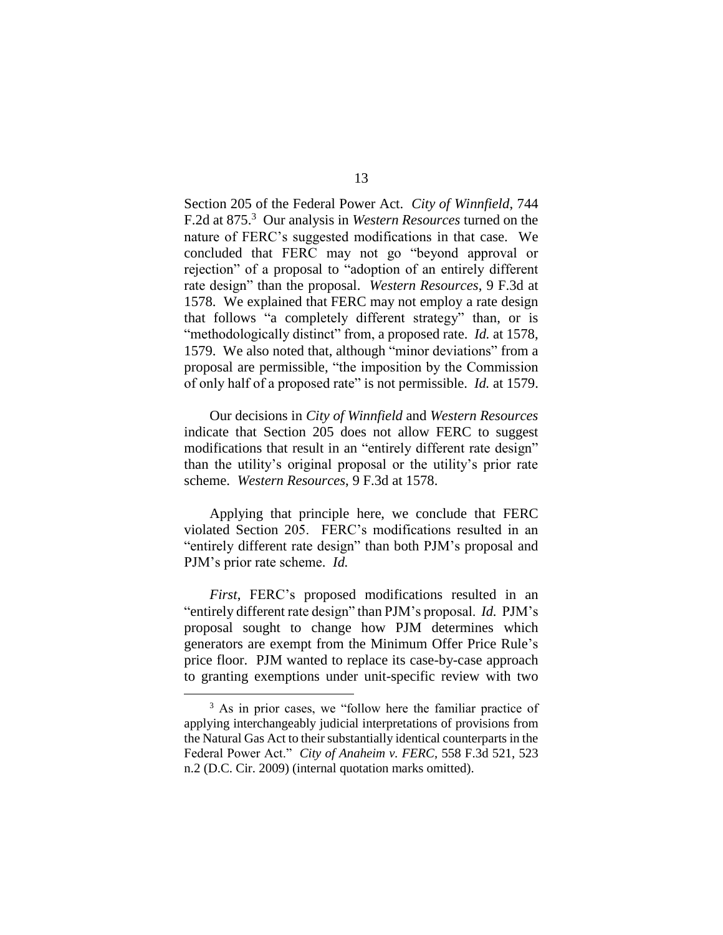Section 205 of the Federal Power Act. *City of Winnfield*, 744 F.2d at 875. 3 Our analysis in *Western Resources* turned on the nature of FERC's suggested modifications in that case. We concluded that FERC may not go "beyond approval or rejection" of a proposal to "adoption of an entirely different rate design" than the proposal. *Western Resources*, 9 F.3d at 1578. We explained that FERC may not employ a rate design that follows "a completely different strategy" than, or is "methodologically distinct" from, a proposed rate. *Id.* at 1578, 1579. We also noted that, although "minor deviations" from a proposal are permissible, "the imposition by the Commission of only half of a proposed rate" is not permissible. *Id.* at 1579.

Our decisions in *City of Winnfield* and *Western Resources*  indicate that Section 205 does not allow FERC to suggest modifications that result in an "entirely different rate design" than the utility's original proposal or the utility's prior rate scheme. *Western Resources*, 9 F.3d at 1578.

Applying that principle here, we conclude that FERC violated Section 205. FERC's modifications resulted in an "entirely different rate design" than both PJM's proposal and PJM's prior rate scheme. *Id.*

*First*, FERC's proposed modifications resulted in an "entirely different rate design" than PJM's proposal. *Id.* PJM's proposal sought to change how PJM determines which generators are exempt from the Minimum Offer Price Rule's price floor. PJM wanted to replace its case-by-case approach to granting exemptions under unit-specific review with two

 $\overline{a}$ 

<sup>&</sup>lt;sup>3</sup> As in prior cases, we "follow here the familiar practice of applying interchangeably judicial interpretations of provisions from the Natural Gas Act to their substantially identical counterparts in the Federal Power Act." *City of Anaheim v. FERC*, 558 F.3d 521, 523 n.2 (D.C. Cir. 2009) (internal quotation marks omitted).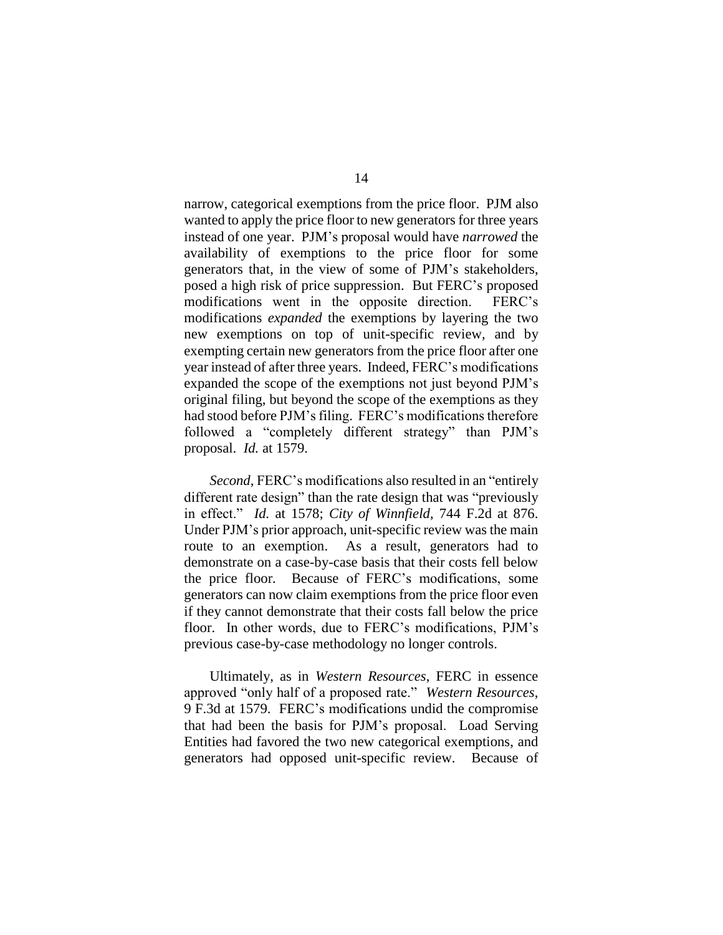narrow, categorical exemptions from the price floor. PJM also wanted to apply the price floor to new generators for three years instead of one year. PJM's proposal would have *narrowed* the availability of exemptions to the price floor for some generators that, in the view of some of PJM's stakeholders, posed a high risk of price suppression. But FERC's proposed modifications went in the opposite direction. FERC's modifications *expanded* the exemptions by layering the two new exemptions on top of unit-specific review, and by exempting certain new generators from the price floor after one year instead of after three years. Indeed, FERC's modifications expanded the scope of the exemptions not just beyond PJM's original filing, but beyond the scope of the exemptions as they had stood before PJM's filing. FERC's modifications therefore followed a "completely different strategy" than PJM's proposal. *Id.* at 1579.

*Second*, FERC's modifications also resulted in an "entirely different rate design" than the rate design that was "previously in effect." *Id.* at 1578; *City of Winnfield*, 744 F.2d at 876. Under PJM's prior approach, unit-specific review was the main route to an exemption. As a result, generators had to demonstrate on a case-by-case basis that their costs fell below the price floor. Because of FERC's modifications, some generators can now claim exemptions from the price floor even if they cannot demonstrate that their costs fall below the price floor. In other words, due to FERC's modifications, PJM's previous case-by-case methodology no longer controls.

Ultimately, as in *Western Resources*, FERC in essence approved "only half of a proposed rate." *Western Resources*, 9 F.3d at 1579. FERC's modifications undid the compromise that had been the basis for PJM's proposal. Load Serving Entities had favored the two new categorical exemptions, and generators had opposed unit-specific review. Because of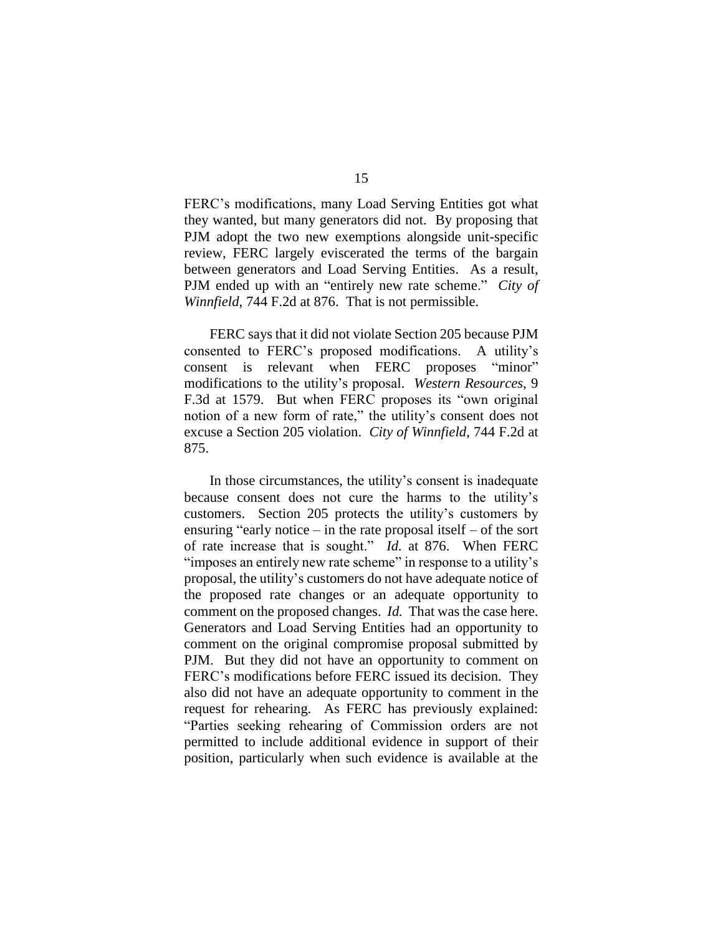FERC's modifications, many Load Serving Entities got what they wanted, but many generators did not. By proposing that PJM adopt the two new exemptions alongside unit-specific review, FERC largely eviscerated the terms of the bargain between generators and Load Serving Entities. As a result, PJM ended up with an "entirely new rate scheme." *City of Winnfield*, 744 F.2d at 876. That is not permissible.

FERC says that it did not violate Section 205 because PJM consented to FERC's proposed modifications. A utility's consent is relevant when FERC proposes "minor" modifications to the utility's proposal. *Western Resources*, 9 F.3d at 1579. But when FERC proposes its "own original notion of a new form of rate," the utility's consent does not excuse a Section 205 violation. *City of Winnfield*, 744 F.2d at 875.

In those circumstances, the utility's consent is inadequate because consent does not cure the harms to the utility's customers. Section 205 protects the utility's customers by ensuring "early notice – in the rate proposal itself – of the sort of rate increase that is sought." *Id.* at 876. When FERC "imposes an entirely new rate scheme" in response to a utility's proposal, the utility's customers do not have adequate notice of the proposed rate changes or an adequate opportunity to comment on the proposed changes. *Id.* That was the case here. Generators and Load Serving Entities had an opportunity to comment on the original compromise proposal submitted by PJM. But they did not have an opportunity to comment on FERC's modifications before FERC issued its decision. They also did not have an adequate opportunity to comment in the request for rehearing. As FERC has previously explained: "Parties seeking rehearing of Commission orders are not permitted to include additional evidence in support of their position, particularly when such evidence is available at the